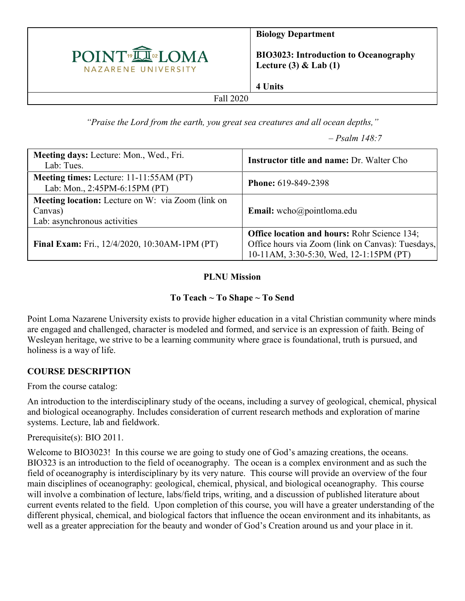

**Biology Department**

**BIO3023: Introduction to Oceanography Lecture (3) & Lab (1)**

**4 Units**

#### Fall 2020

*"Praise the Lord from the earth, you great sea creatures and all ocean depths,"*

*– Psalm 148:7*

| Meeting days: Lecture: Mon., Wed., Fri.<br>Lab: Tues.                                               | <b>Instructor title and name: Dr. Walter Cho</b>                                                                                                    |
|-----------------------------------------------------------------------------------------------------|-----------------------------------------------------------------------------------------------------------------------------------------------------|
| Meeting times: Lecture: 11-11:55AM (PT)<br>Lab: Mon., 2:45PM-6:15PM (PT)                            | <b>Phone: 619-849-2398</b>                                                                                                                          |
| <b>Meeting location:</b> Lecture on W: via Zoom (link on<br>Canvas)<br>Lab: asynchronous activities | <b>Email:</b> wcho@pointloma.edu                                                                                                                    |
| Final Exam: Fri., 12/4/2020, 10:30AM-1PM (PT)                                                       | <b>Office location and hours: Rohr Science 134;</b><br>Office hours via Zoom (link on Canvas): Tuesdays,<br>10-11AM, 3:30-5:30, Wed, 12-1:15PM (PT) |

#### **PLNU Mission**

#### **To Teach ~ To Shape ~ To Send**

Point Loma Nazarene University exists to provide higher education in a vital Christian community where minds are engaged and challenged, character is modeled and formed, and service is an expression of faith. Being of Wesleyan heritage, we strive to be a learning community where grace is foundational, truth is pursued, and holiness is a way of life.

#### **COURSE DESCRIPTION**

From the course catalog:

An introduction to the interdisciplinary study of the oceans, including a survey of geological, chemical, physical and biological oceanography. Includes consideration of current research methods and exploration of marine systems. Lecture, lab and fieldwork.

Prerequisite(s): BIO 2011.

Welcome to BIO3023! In this course we are going to study one of God's amazing creations, the oceans. BIO323 is an introduction to the field of oceanography. The ocean is a complex environment and as such the field of oceanography is interdisciplinary by its very nature. This course will provide an overview of the four main disciplines of oceanography: geological, chemical, physical, and biological oceanography. This course will involve a combination of lecture, labs/field trips, writing, and a discussion of published literature about current events related to the field. Upon completion of this course, you will have a greater understanding of the different physical, chemical, and biological factors that influence the ocean environment and its inhabitants, as well as a greater appreciation for the beauty and wonder of God's Creation around us and your place in it.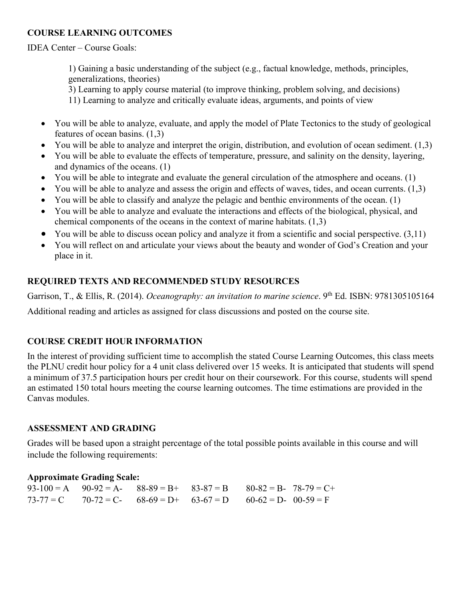### **COURSE LEARNING OUTCOMES**

IDEA Center – Course Goals:

1) Gaining a basic understanding of the subject (e.g., factual knowledge, methods, principles, generalizations, theories)

3) Learning to apply course material (to improve thinking, problem solving, and decisions)

- 11) Learning to analyze and critically evaluate ideas, arguments, and points of view
- You will be able to analyze, evaluate, and apply the model of Plate Tectonics to the study of geological features of ocean basins. (1,3)
- You will be able to analyze and interpret the origin, distribution, and evolution of ocean sediment. (1,3)
- You will be able to evaluate the effects of temperature, pressure, and salinity on the density, layering, and dynamics of the oceans. (1)
- You will be able to integrate and evaluate the general circulation of the atmosphere and oceans. (1)
- You will be able to analyze and assess the origin and effects of waves, tides, and ocean currents. (1,3)
- You will be able to classify and analyze the pelagic and benthic environments of the ocean. (1)
- You will be able to analyze and evaluate the interactions and effects of the biological, physical, and chemical components of the oceans in the context of marine habitats. (1,3)
- You will be able to discuss ocean policy and analyze it from a scientific and social perspective. (3,11)
- You will reflect on and articulate your views about the beauty and wonder of God's Creation and your place in it.

# **REQUIRED TEXTS AND RECOMMENDED STUDY RESOURCES**

Garrison, T., & Ellis, R. (2014). *Oceanography: an invitation to marine science*. 9<sup>th</sup> Ed. ISBN: 9781305105164 Additional reading and articles as assigned for class discussions and posted on the course site.

# **COURSE CREDIT HOUR INFORMATION**

In the interest of providing sufficient time to accomplish the stated Course Learning Outcomes, this class meets the PLNU credit hour policy for a 4 unit class delivered over 15 weeks. It is anticipated that students will spend a minimum of 37.5 participation hours per credit hour on their coursework. For this course, students will spend an estimated 150 total hours meeting the course learning outcomes. The time estimations are provided in the Canvas modules.

### **ASSESSMENT AND GRADING**

Grades will be based upon a straight percentage of the total possible points available in this course and will include the following requirements:

#### **Approximate Grading Scale:**

|  | $93-100 = A$ $90-92 = A$ - $88-89 = B$ + $83-87 = B$ $80-82 = B$ - $78-79 = C$ + |  |  |
|--|----------------------------------------------------------------------------------|--|--|
|  | $73-77 = C$ $70-72 = C$ - $68-69 = D$ + $63-67 = D$ $60-62 = D$ - $00-59 = F$    |  |  |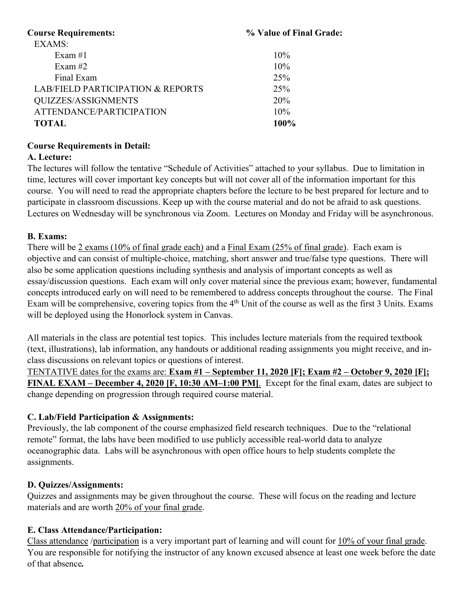| % Value of Final Grade: |  |  |
|-------------------------|--|--|
|                         |  |  |
| 10%                     |  |  |
| 10%                     |  |  |
| 25%                     |  |  |
| 25%                     |  |  |
| 20%                     |  |  |
| 10%                     |  |  |
| 100%                    |  |  |
|                         |  |  |

### **Course Requirements in Detail:**

### **A. Lecture:**

The lectures will follow the tentative "Schedule of Activities" attached to your syllabus. Due to limitation in time, lectures will cover important key concepts but will not cover all of the information important for this course. You will need to read the appropriate chapters before the lecture to be best prepared for lecture and to participate in classroom discussions. Keep up with the course material and do not be afraid to ask questions. Lectures on Wednesday will be synchronous via Zoom. Lectures on Monday and Friday will be asynchronous.

### **B. Exams:**

There will be 2 exams (10% of final grade each) and a Final Exam (25% of final grade). Each exam is objective and can consist of multiple-choice, matching, short answer and true/false type questions. There will also be some application questions including synthesis and analysis of important concepts as well as essay/discussion questions. Each exam will only cover material since the previous exam; however, fundamental concepts introduced early on will need to be remembered to address concepts throughout the course. The Final Exam will be comprehensive, covering topics from the 4<sup>th</sup> Unit of the course as well as the first 3 Units. Exams will be deployed using the Honorlock system in Canvas.

All materials in the class are potential test topics. This includes lecture materials from the required textbook (text, illustrations), lab information, any handouts or additional reading assignments you might receive, and inclass discussions on relevant topics or questions of interest.

TENTATIVE dates for the exams are: **Exam #1 – September 11, 2020 [F]; Exam #2 – October 9, 2020 [F]; FINAL EXAM – December 4, 2020 [F, 10:30 AM–1:00 PM]**. Except for the final exam, dates are subject to change depending on progression through required course material.

### **C. Lab/Field Participation & Assignments:**

Previously, the lab component of the course emphasized field research techniques. Due to the "relational remote" format, the labs have been modified to use publicly accessible real-world data to analyze oceanographic data. Labs will be asynchronous with open office hours to help students complete the assignments.

### **D. Quizzes/Assignments:**

Quizzes and assignments may be given throughout the course. These will focus on the reading and lecture materials and are worth 20% of your final grade.

### **E. Class Attendance/Participation:**

Class attendance /participation is a very important part of learning and will count for 10% of your final grade. You are responsible for notifying the instructor of any known excused absence at least one week before the date of that absence*.*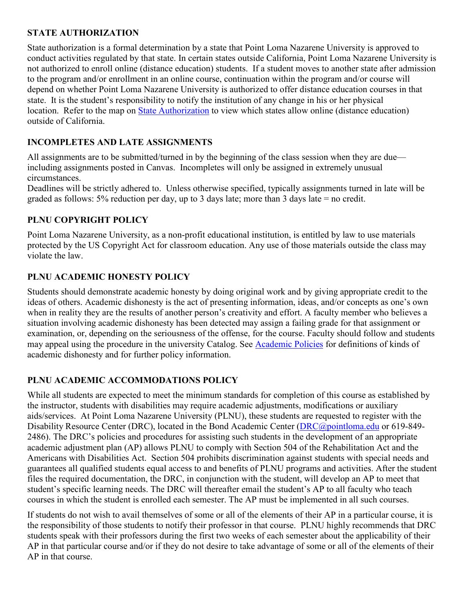### **STATE AUTHORIZATION**

State authorization is a formal determination by a state that Point Loma Nazarene University is approved to conduct activities regulated by that state. In certain states outside California, Point Loma Nazarene University is not authorized to enroll online (distance education) students. If a student moves to another state after admission to the program and/or enrollment in an online course, continuation within the program and/or course will depend on whether Point Loma Nazarene University is authorized to offer distance education courses in that state. It is the student's responsibility to notify the institution of any change in his or her physical location. Refer to the map on [State Authorization](https://www.pointloma.edu/offices/office-institutional-effectiveness-research/disclosures) to view which states allow online (distance education) outside of California.

### **INCOMPLETES AND LATE ASSIGNMENTS**

All assignments are to be submitted/turned in by the beginning of the class session when they are due including assignments posted in Canvas. Incompletes will only be assigned in extremely unusual circumstances.

Deadlines will be strictly adhered to. Unless otherwise specified, typically assignments turned in late will be graded as follows: 5% reduction per day, up to 3 days late; more than 3 days late = no credit.

#### **PLNU COPYRIGHT POLICY**

Point Loma Nazarene University, as a non-profit educational institution, is entitled by law to use materials protected by the US Copyright Act for classroom education. Any use of those materials outside the class may violate the law.

#### **PLNU ACADEMIC HONESTY POLICY**

Students should demonstrate academic honesty by doing original work and by giving appropriate credit to the ideas of others. Academic dishonesty is the act of presenting information, ideas, and/or concepts as one's own when in reality they are the results of another person's creativity and effort. A faculty member who believes a situation involving academic dishonesty has been detected may assign a failing grade for that assignment or examination, or, depending on the seriousness of the offense, for the course. Faculty should follow and students may appeal using the procedure in the university Catalog. See [Academic Policies](https://catalog.pointloma.edu/content.php?catoid=41&navoid=2435#Academic_Honesty) for definitions of kinds of academic dishonesty and for further policy information.

#### **PLNU ACADEMIC ACCOMMODATIONS POLICY**

While all students are expected to meet the minimum standards for completion of this course as established by the instructor, students with disabilities may require academic adjustments, modifications or auxiliary aids/services. At Point Loma Nazarene University (PLNU), these students are requested to register with the Disability Resource Center (DRC), located in the Bond Academic Center [\(DRC@pointloma.edu](mailto:DRC@pointloma.edu) or 619-849-2486). The DRC's policies and procedures for assisting such students in the development of an appropriate academic adjustment plan (AP) allows PLNU to comply with Section 504 of the Rehabilitation Act and the Americans with Disabilities Act. Section 504 prohibits discrimination against students with special needs and guarantees all qualified students equal access to and benefits of PLNU programs and activities. After the student files the required documentation, the DRC, in conjunction with the student, will develop an AP to meet that student's specific learning needs. The DRC will thereafter email the student's AP to all faculty who teach courses in which the student is enrolled each semester. The AP must be implemented in all such courses.

If students do not wish to avail themselves of some or all of the elements of their AP in a particular course, it is the responsibility of those students to notify their professor in that course. PLNU highly recommends that DRC students speak with their professors during the first two weeks of each semester about the applicability of their AP in that particular course and/or if they do not desire to take advantage of some or all of the elements of their AP in that course.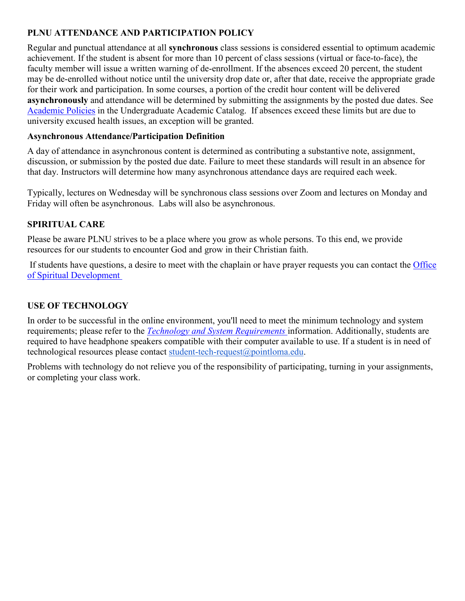# **PLNU ATTENDANCE AND PARTICIPATION POLICY**

Regular and punctual attendance at all **synchronous** class sessions is considered essential to optimum academic achievement. If the student is absent for more than 10 percent of class sessions (virtual or face-to-face), the faculty member will issue a written warning of de-enrollment. If the absences exceed 20 percent, the student may be de-enrolled without notice until the university drop date or, after that date, receive the appropriate grade for their work and participation. In some courses, a portion of the credit hour content will be delivered **asynchronously** and attendance will be determined by submitting the assignments by the posted due dates. See [Academic Policies](https://catalog.pointloma.edu/content.php?catoid=46&navoid=2650#Class_Attendance) in the Undergraduate Academic Catalog. If absences exceed these limits but are due to university excused health issues, an exception will be granted.

#### **Asynchronous Attendance/Participation Definition**

A day of attendance in asynchronous content is determined as contributing a substantive note, assignment, discussion, or submission by the posted due date. Failure to meet these standards will result in an absence for that day. Instructors will determine how many asynchronous attendance days are required each week.

Typically, lectures on Wednesday will be synchronous class sessions over Zoom and lectures on Monday and Friday will often be asynchronous. Labs will also be asynchronous.

### **SPIRITUAL CARE**

Please be aware PLNU strives to be a place where you grow as whole persons. To this end, we provide resources for our students to encounter God and grow in their Christian faith.

If students have questions, a desire to meet with the chaplain or have prayer requests you can contact the [Office](https://www.pointloma.edu/offices/spiritual-development)  [of Spiritual Development](https://www.pointloma.edu/offices/spiritual-development)

### **USE OF TECHNOLOGY**

In order to be successful in the online environment, you'll need to meet the minimum technology and system requirements; please refer to the *[Technology and System Requirements](https://help.pointloma.edu/TDClient/1808/Portal/KB/ArticleDet?ID=108349)* information. Additionally, students are required to have headphone speakers compatible with their computer available to use. If a student is in need of technological resources please contact [student-tech-request@pointloma.edu.](mailto:student-tech-request@pointloma.edu)

Problems with technology do not relieve you of the responsibility of participating, turning in your assignments, or completing your class work.